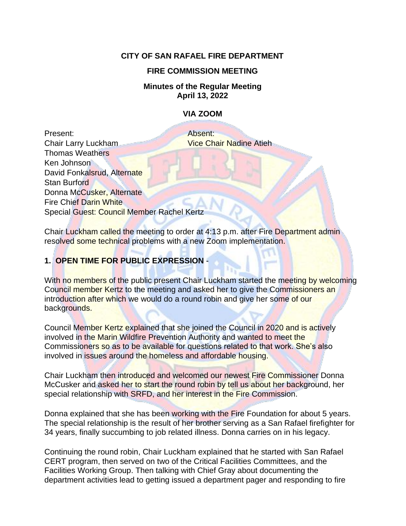## **CITY OF SAN RAFAEL FIRE DEPARTMENT**

### **FIRE COMMISSION MEETING**

#### **Minutes of the Regular Meeting April 13, 2022**

## **VIA ZOOM**

Present: Absent: **Chair Larry Luckham Vice Chair Nadine Atieh** Thomas Weathers Ken Johnson David Fonkalsrud, Alternate Stan Burford Donna McCusker, Alternate Fire Chief Darin White Special Guest: Council Member Rachel Kertz

Chair Luckham called the meeting to order at 4:13 p.m. after Fire Department admin resolved some technical problems with a new Zoom implementation.

# **1. OPEN TIME FOR PUBLIC EXPRESSION** -

With no members of the public present Chair Luckham started the meeting by welcoming Council member Kertz to the meeting and asked her to give the Commissioners an introduction after which we would do a round robin and give her some of our backgrounds.

Council Member Kertz explained that she joined the Council in 2020 and is actively involved in the Marin Wildfire Prevention Authority and wanted to meet the Commissioners so as to be available for questions related to that work. She's also involved in issues around the homeless and affordable housing.

Chair Luckham then introduced and welcomed our newest Fire Commissioner Donna McCusker and asked her to start the round robin by tell us about her background, her special relationship with SRFD, and her interest in the Fire Commission.

Donna explained that she has been working with the Fire Foundation for about 5 years. The special relationship is the result of her brother serving as a San Rafael firefighter for 34 years, finally succumbing to job related illness. Donna carries on in his legacy.

Continuing the round robin, Chair Luckham explained that he started with San Rafael CERT program, then served on two of the Critical Facilities Committees, and the Facilities Working Group. Then talking with Chief Gray about documenting the department activities lead to getting issued a department pager and responding to fire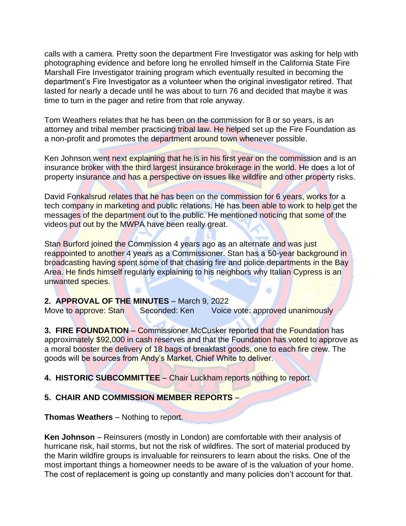calls with a camera. Pretty soon the department Fire Investigator was asking for help with photographing evidence and before long he enrolled himself in the California State Fire Marshall Fire Investigator training program which eventually resulted in becoming the department's Fire Investigator as a volunteer when the original investigator retired. That lasted for nearly a decade until he was about to turn 76 and decided that maybe it was time to turn in the pager and retire from that role anyway.

Tom Weathers relates that he has been on the commission for 8 or so years, is an attorney and tribal member practicing tribal law. He helped set up the Fire Foundation as a non-profit and promotes the department around town whenever possible.

Ken Johnson went next explaining that he is in his first year on the commission and is an insurance broker with the third largest insurance brokerage in the world. He does a lot of property insurance and has a perspective on issues like wildfire and other property risks.

David Fonkalsrud relates that he has been on the commission for 6 years, works for a tech company in marketing and public relations. He has been able to work to help get the messages of the department out to the public. He mentioned noticing that some of the videos put out by the MWPA have been really great.

Stan Burford joined the Commission 4 years ago as an alternate and was just reappointed to another 4 years as a Commissioner. Stan has a 50-year background in broadcasting having spent some of that chasing fire and police departments in the Bay Area. He finds himself regularly explaining to his neighbors why Italian Cypress is an unwanted species.

œ

#### **2. APPROVAL OF THE MINUTES** – March 9, 2022

Move to approve: Stan Seconded: Ken Voice vote: approved unanimously

**3. FIRE FOUNDATION** – Commissioner McCusker reported that the Foundation has approximately \$92,000 in cash reserves and that the Foundation has voted to approve as a moral booster the delivery of 18 bags of breakfast goods, one to each fire crew. The goods will be sources from Andy's Market, Chief White to deliver.

## **4. HISTORIC SUBCOMMITTEE** – Chair Luckham reports nothing to report.

#### **5. CHAIR AND COMMISSION MEMBER REPORTS** –

**Thomas Weathers** – Nothing to report.

**Ken Johnson** – Reinsurers (mostly in London) are comfortable with their analysis of hurricane risk, hail storms, but not the risk of wildfires. The sort of material produced by the Marin wildfire groups is invaluable for reinsurers to learn about the risks. One of the most important things a homeowner needs to be aware of is the valuation of your home. The cost of replacement is going up constantly and many policies don't account for that.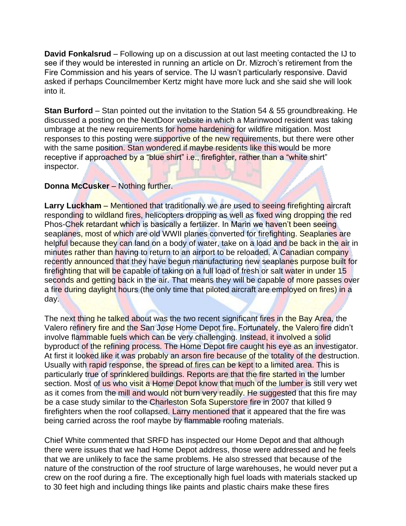**David Fonkalsrud** – Following up on a discussion at out last meeting contacted the IJ to see if they would be interested in running an article on Dr. Mizroch's retirement from the Fire Commission and his years of service. The IJ wasn't particularly responsive. David asked if perhaps Councilmember Kertz might have more luck and she said she will look into it.

**Stan Burford** – Stan pointed out the invitation to the Station 54 & 55 groundbreaking. He discussed a posting on the NextDoor website in which a Marinwood resident was taking umbrage at the new requirements for home hardening for wildfire mitigation. Most responses to this posting were supportive of the new requirements, but there were other with the same position. Stan wondered if maybe residents like this would be more receptive if approached by a "blue shirt" i.e., firefighter, rather than a "white shirt" inspector.

### **Donna McCusker** – Nothing further.

Larry Luckham – Mentioned that traditionally we are used to seeing firefighting aircraft responding to wildland fires, helicopters dropping as well as fixed wing dropping the red Phos-Chek retardant which is basically a fertilizer. In Marin we haven't been seeing seaplanes, most of which are old WWII planes converted for firefighting. Seaplanes are helpful because they can land on a body of water, take on a load and be back in the air in minutes rather than having to return to an airport to be reloaded. A Canadian company recently announced that they have begun manufacturing new seaplanes purpose built for firefighting that will be capable of taking on a full load of fresh or salt water in under 15 seconds and getting back in the air. That means they will be capable of more passes over a fire during daylight hours (the only time that piloted aircraft are employed on fires) in a day.

The next thing he talked about was the two recent significant fires in the Bay Area, the Valero refinery fire and the San Jose Home Depot fire. Fortunately, the Valero fire didn't involve flammable fuels which can be very challenging. Instead, it involved a solid byproduct of the refining process. The Home Depot fire caught his eye as an investigator. At first it looked like it was probably an arson fire because of the totality of the destruction. Usually with rapid response, the spread of fires can be kept to a limited area. This is particularly true of sprinklered buildings. Reports are that the fire started in the lumber section. Most of us who visit a Home Depot know that much of the lumber is still very wet as it comes from the mill and would not burn very readily. He suggested that this fire may be a case study similar to the Charleston Sofa Superstore fire in 2007 that killed 9 firefighters when the roof collapsed. Larry mentioned that it appeared that the fire was being carried across the roof maybe by flammable roofing materials.

Chief White commented that SRFD has inspected our Home Depot and that although there were issues that we had Home Depot address, those were addressed and he feels that we are unlikely to face the same problems. He also stressed that because of the nature of the construction of the roof structure of large warehouses, he would never put a crew on the roof during a fire. The exceptionally high fuel loads with materials stacked up to 30 feet high and including things like paints and plastic chairs make these fires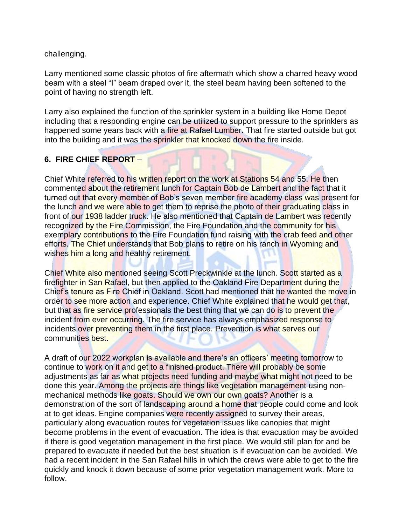challenging.

Larry mentioned some classic photos of fire aftermath which show a charred heavy wood beam with a steel "I" beam draped over it, the steel beam having been softened to the point of having no strength left.

Larry also explained the function of the sprinkler system in a building like Home Depot including that a responding engine can be utilized to support pressure to the sprinklers as happened some years back with a fire at Rafael Lumber. That fire started outside but got into the building and it was the sprinkler that knocked down the fire inside.

# **6. FIRE CHIEF REPORT** –

Chief White referred to his written report on the work at Stations 54 and 55. He then commented about the retirement lunch for Captain Bob de Lambert and the fact that it turned out that every member of Bob's seven member fire academy class was present for the lunch and we were able to get them to reprise the photo of their graduating class in front of our 1938 ladder truck. He also mentioned that Captain de Lambert was recently recognized by the Fire Commission, the Fire Foundation and the community for his exemplary contributions to the Fire Foundation fund raising with the crab feed and other efforts. The Chief understands that Bob plans to retire on his ranch in Wyoming and wishes him a long and healthy retirement.

Chief White also mentioned seeing Scott Preckwinkle at the lunch. Scott started as a firefighter in San Rafael, but then applied to the Oakland Fire Department during the Chief's tenure as Fire Chief in Oakland. Scott had mentioned that he wanted the move in order to see more action and experience. Chief White explained that he would get that, but that as fire service professionals the best thing that we can do is to prevent the incident from ever occurring. The fire service has always emphasized response to incidents over preventing them in the first place. Prevention is what serves our communities best.

A draft of our 2022 workplan is available and there's an officers' meeting tomorrow to continue to work on it and get to a finished product. There will probably be some adjustments as far as what projects need funding and maybe what might not need to be done this year. Among the projects are things like vegetation management using nonmechanical methods like goats. Should we own our own goats? Another is a demonstration of the sort of landscaping around a home that people could come and look at to get ideas. Engine companies were recently assigned to survey their areas, particularly along evacuation routes for vegetation issues like canopies that might become problems in the event of evacuation. The idea is that evacuation may be avoided if there is good vegetation management in the first place. We would still plan for and be prepared to evacuate if needed but the best situation is if evacuation can be avoided. We had a recent incident in the San Rafael hills in which the crews were able to get to the fire quickly and knock it down because of some prior vegetation management work. More to follow.